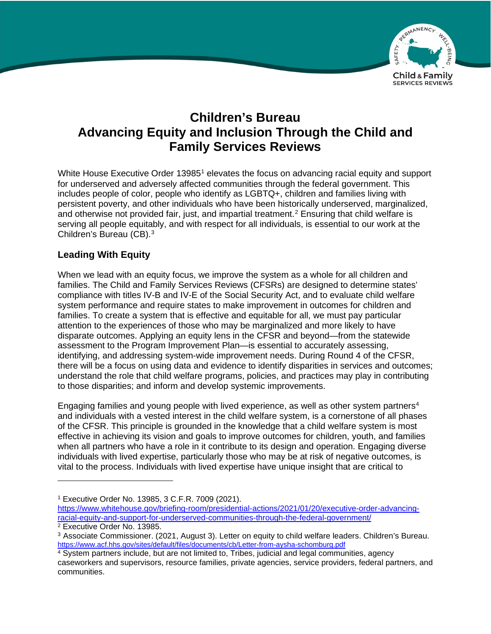

# **Children's Bureau Advancing Equity and Inclusion Through the Child and Family Services Reviews**

White House Executive Order 13985<sup>1</sup> elevates the focus on advancing racial equity and support for underserved and adversely affected communities through the federal government. This includes people of color, people who identify as LGBTQ+, children and families living with persistent poverty, and other individuals who have been historically underserved, marginalized, and otherwise not provided fair, just, and impartial treatment.<sup>2</sup> Ensuring that child welfare is serving all people equitably, and with respect for all individuals, is essential to our work at the Children's Bureau (CB).3

## **Leading With Equity**

When we lead with an equity focus, we improve the system as a whole for all children and families. The Child and Family Services Reviews (CFSRs) are designed to determine states' compliance with titles IV-B and IV-E of the Social Security Act, and to evaluate child welfare system performance and require states to make improvement in outcomes for children and families. To create a system that is effective and equitable for all, we must pay particular attention to the experiences of those who may be marginalized and more likely to have disparate outcomes. Applying an equity lens in the CFSR and beyond—from the statewide assessment to the Program Improvement Plan—is essential to accurately assessing, identifying, and addressing system-wide improvement needs. During Round 4 of the CFSR, there will be a focus on using data and evidence to identify disparities in services and outcomes; understand the role that child welfare programs, policies, and practices may play in contributing to those disparities; and inform and develop systemic improvements.

Engaging families and young people with lived experience, as well as other system partners<sup>4</sup> and individuals with a vested interest in the child welfare system, is a cornerstone of all phases of the CFSR. This principle is grounded in the knowledge that a child welfare system is most effective in achieving its vision and goals to improve outcomes for children, youth, and families when all partners who have a role in it contribute to its design and operation. Engaging diverse individuals with lived expertise, particularly those who may be at risk of negative outcomes, is vital to the process. Individuals with lived expertise have unique insight that are critical to

<sup>1</sup> Executive Order No. 13985, 3 C.F.R. 7009 (2021).

[https://www.whitehouse.gov/briefing-room/presidential-actions/2021/01/20/executive-order-advancing](https://www.whitehouse.gov/briefing-room/presidential-actions/2021/01/20/executive-order-advancing-racial-equity-and-support-for-underserved-communities-through-the-federal-government/)racial-equity-and-support-for-underserved-communities-through-the-federal-government/

<sup>&</sup>lt;sup>2</sup> Executive Order No. 13985.<br><sup>3</sup> Associate Commissioner. (2021, August 3). Letter on equity to child welfare leaders. Children's Bureau. <https://www.acf.hhs.gov/sites/default/files/documents/cb/Letter-from-aysha-schomburg.pdf>

<sup>4</sup> System partners include, but are not limited to, Tribes, judicial and legal communities, agency caseworkers and supervisors, resource families, private agencies, service providers, federal partners, and communities.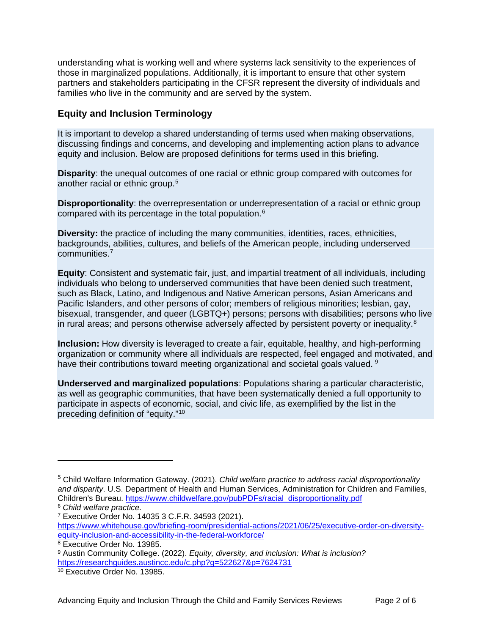understanding what is working well and where systems lack sensitivity to the experiences of those in marginalized populations. Additionally, it is important to ensure that other system partners and stakeholders participating in the CFSR represent the diversity of individuals and families who live in the community and are served by the system.

#### **Equity and Inclusion Terminology**

It is important to develop a shared understanding of terms used when making observations, discussing findings and concerns, and developing and implementing action plans to advance equity and inclusion. Below are proposed definitions for terms used in this briefing.

**Disparity**: the unequal outcomes of one racial or ethnic group compared with outcomes for another racial or ethnic group.<sup>5</sup>

**Disproportionality**: the overrepresentation or underrepresentation of a racial or ethnic group compared with its percentage in the total population.<sup>6</sup>

**Diversity:** the practice of including the many communities, identities, races, ethnicities, backgrounds, abilities, cultures, and beliefs of the American people, including underserved communities.7

**Equity**: Consistent and systematic fair, just, and impartial treatment of all individuals, including individuals who belong to underserved communities that have been denied such treatment, such as Black, Latino, and Indigenous and Native American persons, Asian Americans and Pacific Islanders, and other persons of color; members of religious minorities; lesbian, gay, bisexual, transgender, and queer (LGBTQ+) persons; persons with disabilities; persons who live in rural areas; and persons otherwise adversely affected by persistent poverty or inequality.<sup>8</sup>

**Inclusion:** How diversity is leveraged to create a fair, equitable, healthy, and high-performing organization or community where all individuals are respected, feel engaged and motivated, and have their contributions toward meeting organizational and societal goals valued. <sup>9</sup>

**Underserved and marginalized populations**: Populations sharing a particular characteristic, as well as geographic communities, that have been systematically denied a full opportunity to participate in aspects of economic, social, and civic life, as exemplified by the list in the preceding definition of "equity."10

<sup>5</sup> Child Welfare Information Gateway. (2021). *Child welfare practice to address racial disproportionality and disparity*. U.S. Department of Health and Human Services, Administration for Children and Families, Children's Bureau. [https://www.childwelfare.gov/pubPDFs/racial\\_disproportionality.pdf](https://www.childwelfare.gov/pubPDFs/racial_disproportionality.pdf)

<sup>6</sup> *Child welfare practice.*

<sup>7</sup> Executive Order No. 14035 3 C.F.R. 34593 (2021).

[https://www.whitehouse.gov/briefing-room/presidential-actions/2021/06/25/executive-order-on-diversity](https://www.whitehouse.gov/briefing-room/presidential-actions/2021/06/25/executive-order-on-diversity-equity-inclusion-and-accessibility-in-the-federal-workforce/)equity-inclusion-and-accessibility-in-the-federal-workforce/

<sup>8</sup> Executive Order No. 13985.

<sup>9</sup> Austin Community College. (2022). *Equity, diversity, and inclusion: What is inclusion?* <https://researchguides.austincc.edu/c.php?g=522627&p=7624731>

<sup>10</sup> Executive Order No. 13985.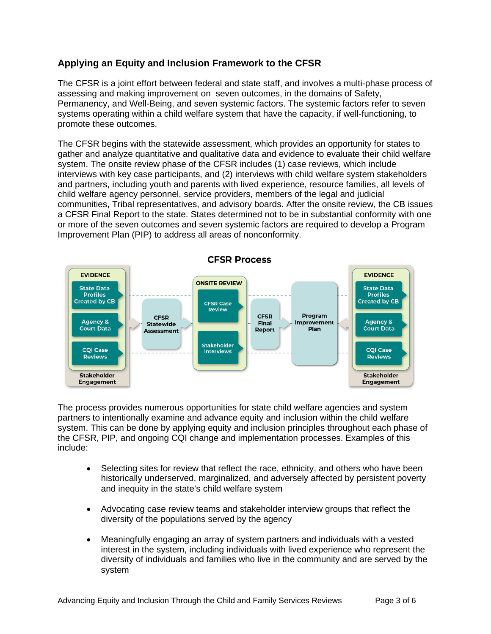# **Applying an Equity and Inclusion Framework to the CFSR**

The CFSR is a joint effort between federal and state staff, and involves a multi-phase process of assessing and making improvement on seven outcomes, in the domains of Safety, Permanency, and Well-Being, and seven systemic factors. The systemic factors refer to seven systems operating within a child welfare system that have the capacity, if well-functioning, to promote these outcomes.

The CFSR begins with the statewide assessment, which provides an opportunity for states to gather and analyze quantitative and qualitative data and evidence to evaluate their child welfare system. The onsite review phase of the CFSR includes (1) case reviews, which include interviews with key case participants, and (2) interviews with child welfare system stakeholders and partners, including youth and parents with lived experience, resource families, all levels of child welfare agency personnel, service providers, members of the legal and judicial communities, Tribal representatives, and advisory boards. After the onsite review, the CB issues a CFSR Final Report to the state. States determined not to be in substantial conformity with one or more of the seven outcomes and seven systemic factors are required to develop a Program Improvement Plan (PIP) to address all areas of nonconformity.



The process provides numerous opportunities for state child welfare agencies and system partners to intentionally examine and advance equity and inclusion within the child welfare system. This can be done by applying equity and inclusion principles throughout each phase of the CFSR, PIP, and ongoing CQI change and implementation processes. Examples of this include:

- Selecting sites for review that reflect the race, ethnicity, and others who have been historically underserved, marginalized, and adversely affected by persistent poverty and inequity in the state's child welfare system
- Advocating case review teams and stakeholder interview groups that reflect the diversity of the populations served by the agency
- Meaningfully engaging an array of system partners and individuals with a vested interest in the system, including individuals with lived experience who represent the diversity of individuals and families who live in the community and are served by the system

Advancing Equity and Inclusion Through the Child and Family Services Reviews Page 3 of 6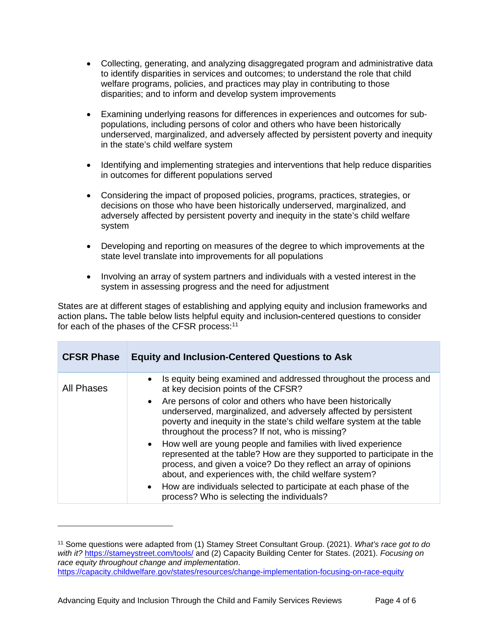- Collecting, generating, and analyzing disaggregated program and administrative data to identify disparities in services and outcomes; to understand the role that child welfare programs, policies, and practices may play in contributing to those disparities; and to inform and develop system improvements
- Examining underlying reasons for differences in experiences and outcomes for subpopulations, including persons of color and others who have been historically underserved, marginalized, and adversely affected by persistent poverty and inequity in the state's child welfare system
- Identifying and implementing strategies and interventions that help reduce disparities in outcomes for different populations served
- Considering the impact of proposed policies, programs, practices, strategies, or decisions on those who have been historically underserved, marginalized, and adversely affected by persistent poverty and inequity in the state's child welfare system
- Developing and reporting on measures of the degree to which improvements at the state level translate into improvements for all populations
- Involving an array of system partners and individuals with a vested interest in the system in assessing progress and the need for adjustment

States are at different stages of establishing and applying equity and inclusion frameworks and action plans**.** The table below lists helpful equity and inclusion**-**centered questions to consider for each of the phases of the CFSR process:<sup>11</sup>

| <b>CFSR Phase</b> | <b>Equity and Inclusion-Centered Questions to Ask</b>                                                                                                                                                                                                                |
|-------------------|----------------------------------------------------------------------------------------------------------------------------------------------------------------------------------------------------------------------------------------------------------------------|
| <b>All Phases</b> | Is equity being examined and addressed throughout the process and<br>$\bullet$<br>at key decision points of the CFSR?                                                                                                                                                |
|                   | Are persons of color and others who have been historically<br>underserved, marginalized, and adversely affected by persistent<br>poverty and inequity in the state's child welfare system at the table<br>throughout the process? If not, who is missing?            |
|                   | How well are young people and families with lived experience<br>represented at the table? How are they supported to participate in the<br>process, and given a voice? Do they reflect an array of opinions<br>about, and experiences with, the child welfare system? |
|                   | How are individuals selected to participate at each phase of the<br>process? Who is selecting the individuals?                                                                                                                                                       |

<sup>11</sup> Some questions were adapted from (1) Stamey Street Consultant Group. (2021). *What's race got to do with it?* <https://stameystreet.com/tools/> and (2) Capacity Building Center for States. (2021). *Focusing on race equity throughout change and implementation*. <https://capacity.childwelfare.gov/states/resources/change-implementation-focusing-on-race-equity>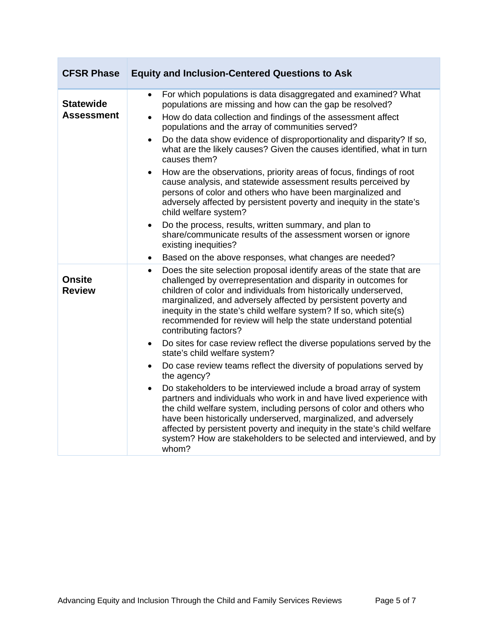| <b>CFSR Phase</b>                     | <b>Equity and Inclusion-Centered Questions to Ask</b>                                                                                                                                                                                                                                                                                                                                                                                                                                                                                                                                                                                                                                                                                                          |
|---------------------------------------|----------------------------------------------------------------------------------------------------------------------------------------------------------------------------------------------------------------------------------------------------------------------------------------------------------------------------------------------------------------------------------------------------------------------------------------------------------------------------------------------------------------------------------------------------------------------------------------------------------------------------------------------------------------------------------------------------------------------------------------------------------------|
| <b>Statewide</b><br><b>Assessment</b> | For which populations is data disaggregated and examined? What<br>$\bullet$<br>populations are missing and how can the gap be resolved?<br>How do data collection and findings of the assessment affect<br>populations and the array of communities served?<br>Do the data show evidence of disproportionality and disparity? If so,<br>$\bullet$<br>what are the likely causes? Given the causes identified, what in turn<br>causes them?<br>How are the observations, priority areas of focus, findings of root<br>$\bullet$<br>cause analysis, and statewide assessment results perceived by<br>persons of color and others who have been marginalized and<br>adversely affected by persistent poverty and inequity in the state's<br>child welfare system? |
|                                       | Do the process, results, written summary, and plan to<br>$\bullet$<br>share/communicate results of the assessment worsen or ignore<br>existing inequities?<br>Based on the above responses, what changes are needed?<br>$\bullet$                                                                                                                                                                                                                                                                                                                                                                                                                                                                                                                              |
| <b>Onsite</b><br><b>Review</b>        | Does the site selection proposal identify areas of the state that are<br>$\bullet$<br>challenged by overrepresentation and disparity in outcomes for<br>children of color and individuals from historically underserved,<br>marginalized, and adversely affected by persistent poverty and<br>inequity in the state's child welfare system? If so, which site(s)<br>recommended for review will help the state understand potential<br>contributing factors?                                                                                                                                                                                                                                                                                                   |
|                                       | Do sites for case review reflect the diverse populations served by the<br>$\bullet$<br>state's child welfare system?                                                                                                                                                                                                                                                                                                                                                                                                                                                                                                                                                                                                                                           |
|                                       | Do case review teams reflect the diversity of populations served by<br>$\bullet$<br>the agency?                                                                                                                                                                                                                                                                                                                                                                                                                                                                                                                                                                                                                                                                |
|                                       | Do stakeholders to be interviewed include a broad array of system<br>$\bullet$<br>partners and individuals who work in and have lived experience with<br>the child welfare system, including persons of color and others who<br>have been historically underserved, marginalized, and adversely<br>affected by persistent poverty and inequity in the state's child welfare<br>system? How are stakeholders to be selected and interviewed, and by<br>whom?                                                                                                                                                                                                                                                                                                    |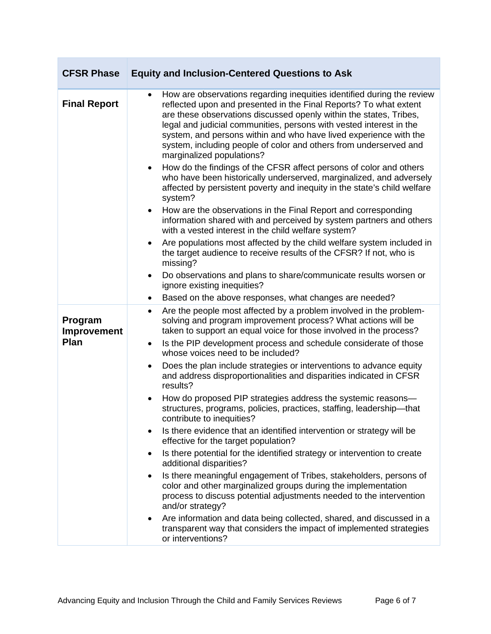| <b>CFSR Phase</b>              | <b>Equity and Inclusion-Centered Questions to Ask</b>                                                                                                                                                                                                                                                                                                                                                                                                                                                                                                                                                                                                                                                                                                                                                                                                                                                                                                                                                                                                                                                      |
|--------------------------------|------------------------------------------------------------------------------------------------------------------------------------------------------------------------------------------------------------------------------------------------------------------------------------------------------------------------------------------------------------------------------------------------------------------------------------------------------------------------------------------------------------------------------------------------------------------------------------------------------------------------------------------------------------------------------------------------------------------------------------------------------------------------------------------------------------------------------------------------------------------------------------------------------------------------------------------------------------------------------------------------------------------------------------------------------------------------------------------------------------|
| <b>Final Report</b>            | How are observations regarding inequities identified during the review<br>$\bullet$<br>reflected upon and presented in the Final Reports? To what extent<br>are these observations discussed openly within the states, Tribes,<br>legal and judicial communities, persons with vested interest in the<br>system, and persons within and who have lived experience with the<br>system, including people of color and others from underserved and<br>marginalized populations?<br>How do the findings of the CFSR affect persons of color and others<br>$\bullet$<br>who have been historically underserved, marginalized, and adversely<br>affected by persistent poverty and inequity in the state's child welfare<br>system?<br>How are the observations in the Final Report and corresponding<br>$\bullet$<br>information shared with and perceived by system partners and others<br>with a vested interest in the child welfare system?<br>Are populations most affected by the child welfare system included in<br>٠<br>the target audience to receive results of the CFSR? If not, who is<br>missing? |
|                                | Do observations and plans to share/communicate results worsen or<br>$\bullet$<br>ignore existing inequities?                                                                                                                                                                                                                                                                                                                                                                                                                                                                                                                                                                                                                                                                                                                                                                                                                                                                                                                                                                                               |
|                                | Based on the above responses, what changes are needed?<br>$\bullet$                                                                                                                                                                                                                                                                                                                                                                                                                                                                                                                                                                                                                                                                                                                                                                                                                                                                                                                                                                                                                                        |
| Program<br>Improvement<br>Plan | Are the people most affected by a problem involved in the problem-<br>$\bullet$<br>solving and program improvement process? What actions will be<br>taken to support an equal voice for those involved in the process?<br>Is the PIP development process and schedule considerate of those<br>$\bullet$<br>whose voices need to be included?                                                                                                                                                                                                                                                                                                                                                                                                                                                                                                                                                                                                                                                                                                                                                               |
|                                | Does the plan include strategies or interventions to advance equity<br>$\bullet$<br>and address disproportionalities and disparities indicated in CFSR<br>results?                                                                                                                                                                                                                                                                                                                                                                                                                                                                                                                                                                                                                                                                                                                                                                                                                                                                                                                                         |
|                                | How do proposed PIP strategies address the systemic reasons-<br>$\bullet$<br>structures, programs, policies, practices, staffing, leadership-that<br>contribute to inequities?                                                                                                                                                                                                                                                                                                                                                                                                                                                                                                                                                                                                                                                                                                                                                                                                                                                                                                                             |
|                                | Is there evidence that an identified intervention or strategy will be<br>effective for the target population?                                                                                                                                                                                                                                                                                                                                                                                                                                                                                                                                                                                                                                                                                                                                                                                                                                                                                                                                                                                              |
|                                | Is there potential for the identified strategy or intervention to create<br>٠<br>additional disparities?                                                                                                                                                                                                                                                                                                                                                                                                                                                                                                                                                                                                                                                                                                                                                                                                                                                                                                                                                                                                   |
|                                | Is there meaningful engagement of Tribes, stakeholders, persons of<br>٠<br>color and other marginalized groups during the implementation<br>process to discuss potential adjustments needed to the intervention<br>and/or strategy?                                                                                                                                                                                                                                                                                                                                                                                                                                                                                                                                                                                                                                                                                                                                                                                                                                                                        |
|                                | Are information and data being collected, shared, and discussed in a<br>$\bullet$<br>transparent way that considers the impact of implemented strategies<br>or interventions?                                                                                                                                                                                                                                                                                                                                                                                                                                                                                                                                                                                                                                                                                                                                                                                                                                                                                                                              |